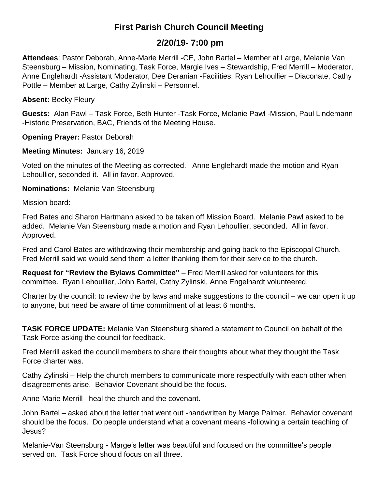# **First Parish Church Council Meeting**

## **2/20/19- 7:00 pm**

**Attendees**: Pastor Deborah, Anne-Marie Merrill -CE, John Bartel – Member at Large, Melanie Van Steensburg – Mission, Nominating, Task Force, Margie Ives – Stewardship, Fred Merrill – Moderator, Anne Englehardt -Assistant Moderator, Dee Deranian -Facilities, Ryan Lehoullier – Diaconate, Cathy Pottle – Member at Large, Cathy Zylinski – Personnel.

**Absent:** Becky Fleury

**Guests:** Alan Pawl – Task Force, Beth Hunter -Task Force, Melanie Pawl -Mission, Paul Lindemann -Historic Preservation, BAC, Friends of the Meeting House.

**Opening Prayer:** Pastor Deborah

**Meeting Minutes:** January 16, 2019

Voted on the minutes of the Meeting as corrected. Anne Englehardt made the motion and Ryan Lehoullier, seconded it. All in favor. Approved.

**Nominations:** Melanie Van Steensburg

Mission board:

Fred Bates and Sharon Hartmann asked to be taken off Mission Board. Melanie Pawl asked to be added. Melanie Van Steensburg made a motion and Ryan Lehoullier, seconded. All in favor. Approved.

Fred and Carol Bates are withdrawing their membership and going back to the Episcopal Church. Fred Merrill said we would send them a letter thanking them for their service to the church.

**Request for "Review the Bylaws Committee"** – Fred Merrill asked for volunteers for this committee. Ryan Lehoullier, John Bartel, Cathy Zylinski, Anne Engelhardt volunteered.

Charter by the council: to review the by laws and make suggestions to the council – we can open it up to anyone, but need be aware of time commitment of at least 6 months.

**TASK FORCE UPDATE:** Melanie Van Steensburg shared a statement to Council on behalf of the Task Force asking the council for feedback.

Fred Merrill asked the council members to share their thoughts about what they thought the Task Force charter was.

Cathy Zylinski – Help the church members to communicate more respectfully with each other when disagreements arise. Behavior Covenant should be the focus.

Anne-Marie Merrill– heal the church and the covenant.

John Bartel – asked about the letter that went out -handwritten by Marge Palmer. Behavior covenant should be the focus. Do people understand what a covenant means -following a certain teaching of Jesus?

Melanie-Van Steensburg - Marge's letter was beautiful and focused on the committee's people served on. Task Force should focus on all three.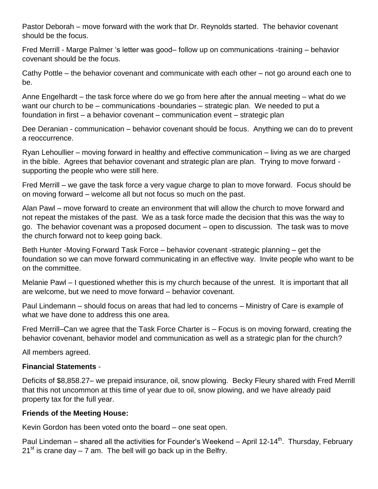Pastor Deborah – move forward with the work that Dr. Reynolds started. The behavior covenant should be the focus.

Fred Merrill - Marge Palmer 's letter was good– follow up on communications -training – behavior covenant should be the focus.

Cathy Pottle – the behavior covenant and communicate with each other – not go around each one to be.

Anne Engelhardt – the task force where do we go from here after the annual meeting – what do we want our church to be – communications -boundaries – strategic plan. We needed to put a foundation in first – a behavior covenant – communication event – strategic plan

Dee Deranian - communication – behavior covenant should be focus. Anything we can do to prevent a reoccurrence.

Ryan Lehoullier – moving forward in healthy and effective communication – living as we are charged in the bible. Agrees that behavior covenant and strategic plan are plan. Trying to move forward supporting the people who were still here.

Fred Merrill – we gave the task force a very vague charge to plan to move forward. Focus should be on moving forward – welcome all but not focus so much on the past.

Alan Pawl – move forward to create an environment that will allow the church to move forward and not repeat the mistakes of the past. We as a task force made the decision that this was the way to go. The behavior covenant was a proposed document – open to discussion. The task was to move the church forward not to keep going back.

Beth Hunter -Moving Forward Task Force – behavior covenant -strategic planning – get the foundation so we can move forward communicating in an effective way. Invite people who want to be on the committee.

Melanie Pawl – I questioned whether this is my church because of the unrest. It is important that all are welcome, but we need to move forward – behavior covenant.

Paul Lindemann – should focus on areas that had led to concerns – Ministry of Care is example of what we have done to address this one area.

Fred Merrill–Can we agree that the Task Force Charter is – Focus is on moving forward, creating the behavior covenant, behavior model and communication as well as a strategic plan for the church?

All members agreed.

### **Financial Statements** -

Deficits of \$8,858.27– we prepaid insurance, oil, snow plowing. Becky Fleury shared with Fred Merrill that this not uncommon at this time of year due to oil, snow plowing, and we have already paid property tax for the full year.

### **Friends of the Meeting House:**

Kevin Gordon has been voted onto the board – one seat open.

Paul Lindeman – shared all the activities for Founder's Weekend – April 12-14<sup>th</sup>. Thursday, February  $21<sup>st</sup>$  is crane day – 7 am. The bell will go back up in the Belfry.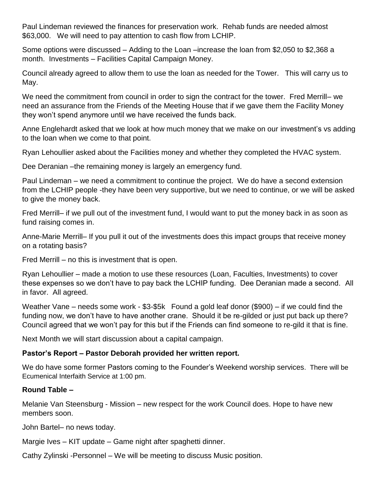Paul Lindeman reviewed the finances for preservation work. Rehab funds are needed almost \$63,000. We will need to pay attention to cash flow from LCHIP.

Some options were discussed – Adding to the Loan –increase the loan from \$2,050 to \$2,368 a month. Investments – Facilities Capital Campaign Money.

Council already agreed to allow them to use the loan as needed for the Tower. This will carry us to May.

We need the commitment from council in order to sign the contract for the tower. Fred Merrill– we need an assurance from the Friends of the Meeting House that if we gave them the Facility Money they won't spend anymore until we have received the funds back.

Anne Englehardt asked that we look at how much money that we make on our investment's vs adding to the loan when we come to that point.

Ryan Lehoullier asked about the Facilities money and whether they completed the HVAC system.

Dee Deranian –the remaining money is largely an emergency fund.

Paul Lindeman – we need a commitment to continue the project. We do have a second extension from the LCHIP people -they have been very supportive, but we need to continue, or we will be asked to give the money back.

Fred Merrill– if we pull out of the investment fund, I would want to put the money back in as soon as fund raising comes in.

Anne-Marie Merrill– If you pull it out of the investments does this impact groups that receive money on a rotating basis?

Fred Merrill – no this is investment that is open.

Ryan Lehoullier – made a motion to use these resources (Loan, Faculties, Investments) to cover these expenses so we don't have to pay back the LCHIP funding. Dee Deranian made a second. All in favor. All agreed.

Weather Vane – needs some work - \$3-\$5k Found a gold leaf donor (\$900) – if we could find the funding now, we don't have to have another crane. Should it be re-gilded or just put back up there? Council agreed that we won't pay for this but if the Friends can find someone to re-gild it that is fine.

Next Month we will start discussion about a capital campaign.

#### **Pastor's Report – Pastor Deborah provided her written report.**

We do have some former Pastors coming to the Founder's Weekend worship services. There will be Ecumenical Interfaith Service at 1:00 pm.

#### **Round Table –**

Melanie Van Steensburg - Mission – new respect for the work Council does. Hope to have new members soon.

John Bartel– no news today.

Margie Ives – KIT update – Game night after spaghetti dinner.

Cathy Zylinski -Personnel – We will be meeting to discuss Music position.